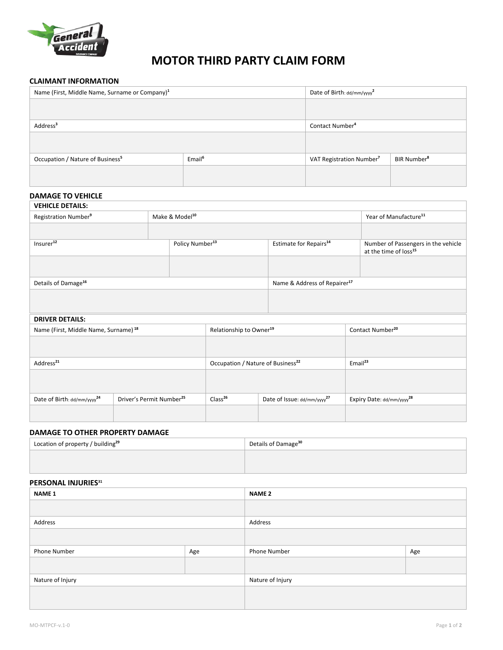

# **MOTOR THIRD PARTY CLAIM FORM**

#### **CLAIMANT INFORMATION**

| Name (First, Middle Name, Surname or Company) <sup>1</sup> | Date of Birth: dd/mm/yyyy <sup>2</sup> |                                      |                         |
|------------------------------------------------------------|----------------------------------------|--------------------------------------|-------------------------|
|                                                            |                                        |                                      |                         |
|                                                            |                                        |                                      |                         |
| Address <sup>3</sup>                                       | Contact Number <sup>4</sup>            |                                      |                         |
|                                                            |                                        |                                      |                         |
| Occupation / Nature of Business <sup>5</sup>               | Email <sup>6</sup>                     | VAT Registration Number <sup>7</sup> | BIR Number <sup>8</sup> |
|                                                            |                                        |                                      |                         |

# **DAMAGE TO VEHICLE**

| <b>VEHICLE DETAILS:</b>          |  |                             |                                          |  |                                                                          |
|----------------------------------|--|-----------------------------|------------------------------------------|--|--------------------------------------------------------------------------|
| Registration Number <sup>9</sup> |  | Make & Model <sup>10</sup>  |                                          |  | Year of Manufacture <sup>11</sup>                                        |
|                                  |  |                             |                                          |  |                                                                          |
| Insurer <sup>12</sup>            |  | Policy Number <sup>13</sup> | Estimate for Repairs <sup>14</sup>       |  | Number of Passengers in the vehicle<br>at the time of loss <sup>15</sup> |
|                                  |  |                             |                                          |  |                                                                          |
| Details of Damage <sup>16</sup>  |  |                             | Name & Address of Repairer <sup>17</sup> |  |                                                                          |
|                                  |  |                             |                                          |  |                                                                          |
| <b>DOBITO DETAILS.</b>           |  |                             |                                          |  |                                                                          |

#### **DRIVER DETAILS:**

| Email <sup>23</sup><br>Occupation / Nature of Business <sup>22</sup>             |
|----------------------------------------------------------------------------------|
|                                                                                  |
|                                                                                  |
| Expiry Date: dd/mm/yyyy <sup>28</sup><br>Date of Issue: dd/mm/yyyy <sup>27</sup> |
|                                                                                  |
|                                                                                  |

### **DAMAGE TO OTHER PROPERTY DAMAGE**

| Location of property / building <sup>29</sup> | Details of Damage <sup>30</sup> |
|-----------------------------------------------|---------------------------------|
|                                               |                                 |
|                                               |                                 |

# **PERSONAL INJURIES31**

| <b>NAME 1</b>    |     | <b>NAME 2</b>    |     |  |
|------------------|-----|------------------|-----|--|
|                  |     |                  |     |  |
| Address          |     | Address          |     |  |
|                  |     |                  |     |  |
| Phone Number     | Age | Phone Number     | Age |  |
|                  |     |                  |     |  |
| Nature of Injury |     | Nature of Injury |     |  |
|                  |     |                  |     |  |